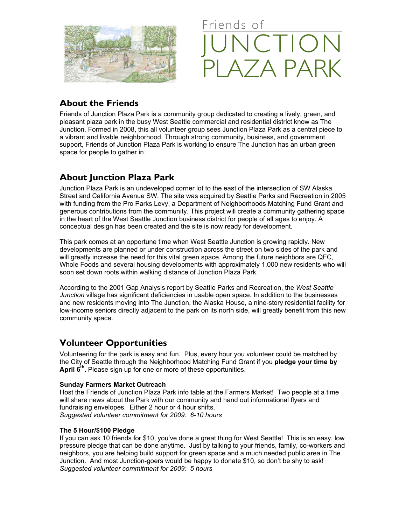



# **About the Friends**

Friends of Junction Plaza Park is a community group dedicated to creating a lively, green, and pleasant plaza park in the busy West Seattle commercial and residential district know as The Junction. Formed in 2008, this all volunteer group sees Junction Plaza Park as a central piece to a vibrant and livable neighborhood. Through strong community, business, and government support, Friends of Junction Plaza Park is working to ensure The Junction has an urban green space for people to gather in.

# **About Junction Plaza Park**

Junction Plaza Park is an undeveloped corner lot to the east of the intersection of SW Alaska Street and California Avenue SW. The site was acquired by Seattle Parks and Recreation in 2005 with funding from the Pro Parks Levy, a Department of Neighborhoods Matching Fund Grant and generous contributions from the community. This project will create a community gathering space in the heart of the West Seattle Junction business district for people of all ages to enjoy. A conceptual design has been created and the site is now ready for development.

This park comes at an opportune time when West Seattle Junction is growing rapidly. New developments are planned or under construction across the street on two sides of the park and will greatly increase the need for this vital green space. Among the future neighbors are QFC, Whole Foods and several housing developments with approximately 1,000 new residents who will soon set down roots within walking distance of Junction Plaza Park.

According to the 2001 Gap Analysis report by Seattle Parks and Recreation, the *West Seattle Junction* village has significant deficiencies in usable open space. In addition to the businesses and new residents moving into The Junction, the Alaska House, a nine-story residential facility for low-income seniors directly adjacent to the park on its north side, will greatly benefit from this new community space.

# **Volunteer Opportunities**

Volunteering for the park is easy and fun. Plus, every hour you volunteer could be matched by the City of Seattle through the Neighborhood Matching Fund Grant if you **pledge your time by**  April 6<sup>th</sup>. Please sign up for one or more of these opportunities.

### **Sunday Farmers Market Outreach**

Host the Friends of Junction Plaza Park info table at the Farmers Market! Two people at a time will share news about the Park with our community and hand out informational flyers and fundraising envelopes. Either 2 hour or 4 hour shifts. *Suggested volunteer commitment for 2009: 6-10 hours* 

### **The 5 Hour/\$100 Pledge**

If you can ask 10 friends for \$10, you've done a great thing for West Seattle! This is an easy, low pressure pledge that can be done anytime. Just by talking to your friends, family, co-workers and neighbors, you are helping build support for green space and a much needed public area in The Junction. And most Junction-goers would be happy to donate \$10, so don't be shy to ask! *Suggested volunteer commitment for 2009: 5 hours*